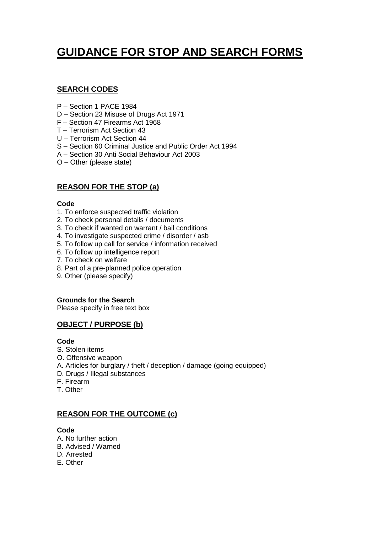# **GUIDANCE FOR STOP AND SEARCH FORMS**

# **SEARCH CODES**

- P Section 1 PACE 1984
- D Section 23 Misuse of Drugs Act 1971
- F Section 47 Firearms Act 1968
- T Terrorism Act Section 43
- U Terrorism Act Section 44
- S Section 60 Criminal Justice and Public Order Act 1994
- A Section 30 Anti Social Behaviour Act 2003
- O Other (please state)

# **REASON FOR THE STOP (a)**

### **Code**

- 1. To enforce suspected traffic violation
- 2. To check personal details / documents
- 3. To check if wanted on warrant / bail conditions
- 4. To investigate suspected crime / disorder / asb
- 5. To follow up call for service / information received
- 6. To follow up intelligence report
- 7. To check on welfare
- 8. Part of a pre-planned police operation
- 9. Other (please specify)

### **Grounds for the Search**

Please specify in free text box

# **OBJECT / PURPOSE (b)**

### **Code**

- S. Stolen items
- O. Offensive weapon
- A. Articles for burglary / theft / deception / damage (going equipped)
- D. Drugs / Illegal substances
- F. Firearm
- T. Other

### **REASON FOR THE OUTCOME (c)**

### **Code**

- A. No further action
- B. Advised / Warned
- D. Arrested
- E. Other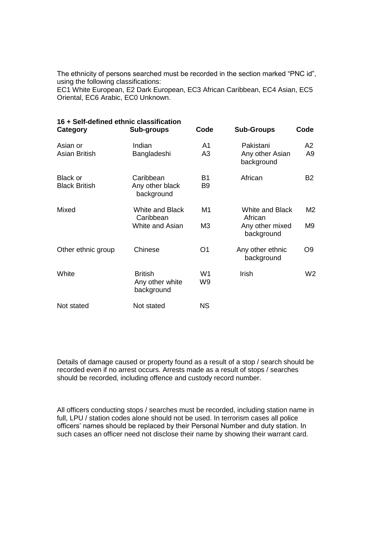The ethnicity of persons searched must be recorded in the section marked "PNC id", using the following classifications:

EC1 White European, E2 Dark European, EC3 African Caribbean, EC4 Asian, EC5 Oriental, EC6 Arabic, EC0 Unknown.

| 16 + Self-defined ethnic classification<br><b>Category</b> | Sub-groups                                             | Code                 | <b>Sub-Groups</b>                                                  | Code                 |
|------------------------------------------------------------|--------------------------------------------------------|----------------------|--------------------------------------------------------------------|----------------------|
| Asian or<br><b>Asian British</b>                           | Indian<br>Bangladeshi                                  | A1<br>A3             | Pakistani<br>Any other Asian<br>background                         | A2<br>A <sub>9</sub> |
| <b>Black or</b><br><b>Black British</b>                    | Caribbean<br>Any other black<br>background             | B1<br>B <sub>9</sub> | African                                                            | <b>B2</b>            |
| Mixed                                                      | <b>White and Black</b><br>Caribbean<br>White and Asian | M1<br>M <sub>3</sub> | <b>White and Black</b><br>African<br>Any other mixed<br>background | M2<br>M9             |
| Other ethnic group                                         | Chinese                                                | O <sub>1</sub>       | Any other ethnic<br>background                                     | O <sub>9</sub>       |
| White                                                      | <b>British</b><br>Any other white<br>background        | W <sub>1</sub><br>W9 | Irish                                                              | W <sub>2</sub>       |
| Not stated                                                 | Not stated                                             | <b>NS</b>            |                                                                    |                      |

Details of damage caused or property found as a result of a stop / search should be recorded even if no arrest occurs. Arrests made as a result of stops / searches should be recorded, including offence and custody record number.

All officers conducting stops / searches must be recorded, including station name in full, LPU / station codes alone should not be used. In terrorism cases all police officers' names should be replaced by their Personal Number and duty station. In such cases an officer need not disclose their name by showing their warrant card.